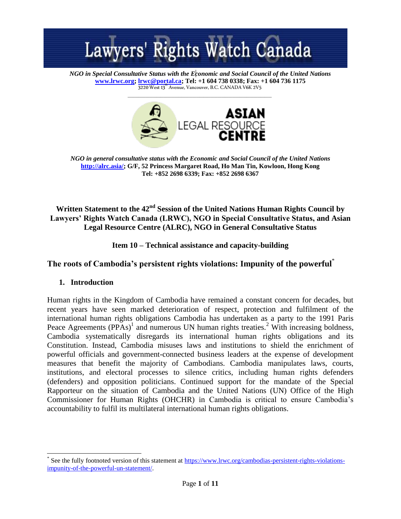

*NGO in Special Consultative Status with the Economic and Social Council of the United Nations* **[www.lrwc.org;](http://www.lrwc.org/) [lrwc@portal.ca;](mailto:lrwc@portal.ca) Tel: +1 604 738 0338; Fax: +1 604 736 1175** 3220 West 13<sup>th</sup> Avenue, Vancouver, B.C. CANADA V6K 2V5



*NGO in general consultative status with the Economic and Social Council of the United Nations* **[http://alrc.asia/;](http://alrc.asia/) G/F, 52 Princess Margaret Road, Ho Man Tin, Kowloon, Hong Kong Tel: +852 2698 6339; Fax: +852 2698 6367**

### **Written Statement to the 42nd Session of the United Nations Human Rights Council by Lawyers' Rights Watch Canada (LRWC), NGO in Special Consultative Status, and Asian Legal Resource Centre (ALRC), NGO in General Consultative Status**

**Item 10 – Technical assistance and capacity-building**

## **The roots of Cambodia's persistent rights violations: Impunity of the powerful**\*

### **1. Introduction**

l

Human rights in the Kingdom of Cambodia have remained a constant concern for decades, but recent years have seen marked deterioration of respect, protection and fulfilment of the international human rights obligations Cambodia has undertaken as a party to the 1991 Paris Peace Agreements  $(PPAs)^{1}$  and numerous UN human rights treaties.<sup>2</sup> With increasing boldness, Cambodia systematically disregards its international human rights obligations and its Constitution. Instead, Cambodia misuses laws and institutions to shield the enrichment of powerful officials and government-connected business leaders at the expense of development measures that benefit the majority of Cambodians. Cambodia manipulates laws, courts, institutions, and electoral processes to silence critics, including human rights defenders (defenders) and opposition politicians. Continued support for the mandate of the Special Rapporteur on the situation of Cambodia and the United Nations (UN) Office of the High Commissioner for Human Rights (OHCHR) in Cambodia is critical to ensure Cambodia's accountability to fulfil its multilateral international human rights obligations.

<sup>\*</sup> See the fully footnoted version of this statement at [https://www.lrwc.org/cambodias-persistent-rights-violations](https://www.lrwc.org/cambodias-persistent-rights-violations-impunity-of-the-powerful-un-statement/)[impunity-of-the-powerful-un-statement/.](https://www.lrwc.org/cambodias-persistent-rights-violations-impunity-of-the-powerful-un-statement/)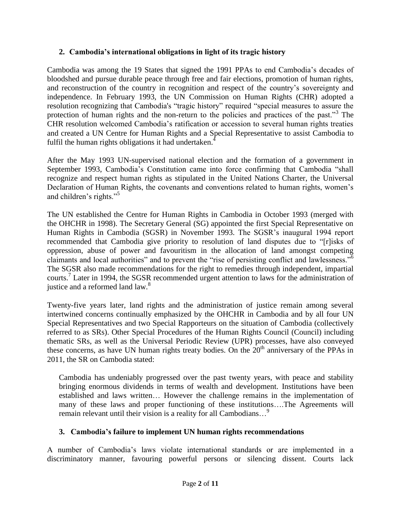#### **2. Cambodia's international obligations in light of its tragic history**

Cambodia was among the 19 States that signed the 1991 PPAs to end Cambodia's decades of bloodshed and pursue durable peace through free and fair elections, promotion of human rights, and reconstruction of the country in recognition and respect of the country's sovereignty and independence. In February 1993, the UN Commission on Human Rights (CHR) adopted a resolution recognizing that Cambodia's "tragic history" required "special measures to assure the protection of human rights and the non-return to the policies and practices of the past."<sup>3</sup> The CHR resolution welcomed Cambodia's ratification or accession to several human rights treaties and created a UN Centre for Human Rights and a Special Representative to assist Cambodia to fulfil the human rights obligations it had undertaken.<sup>4</sup>

After the May 1993 UN-supervised national election and the formation of a government in September 1993, Cambodia's Constitution came into force confirming that Cambodia "shall recognize and respect human rights as stipulated in the United Nations Charter, the Universal Declaration of Human Rights, the covenants and conventions related to human rights, women's and children's rights."<sup>5</sup>

The UN established the Centre for Human Rights in Cambodia in October 1993 (merged with the OHCHR in 1998). The Secretary General (SG) appointed the first Special Representative on Human Rights in Cambodia (SGSR) in November 1993. The SGSR's inaugural 1994 report recommended that Cambodia give priority to resolution of land disputes due to "[r]isks of oppression, abuse of power and favouritism in the allocation of land amongst competing claimants and local authorities" and to prevent the "rise of persisting conflict and lawlessness."<sup>6</sup> The SGSR also made recommendations for the right to remedies through independent, impartial courts.<sup>7</sup> Later in 1994, the SGSR recommended urgent attention to laws for the administration of justice and a reformed land law.<sup>8</sup>

Twenty-five years later, land rights and the administration of justice remain among several intertwined concerns continually emphasized by the OHCHR in Cambodia and by all four UN Special Representatives and two Special Rapporteurs on the situation of Cambodia (collectively referred to as SRs). Other Special Procedures of the Human Rights Council (Council) including thematic SRs, as well as the Universal Periodic Review (UPR) processes, have also conveyed these concerns, as have UN human rights treaty bodies. On the  $20<sup>th</sup>$  anniversary of the PPAs in 2011, the SR on Cambodia stated:

Cambodia has undeniably progressed over the past twenty years, with peace and stability bringing enormous dividends in terms of wealth and development. Institutions have been established and laws written… However the challenge remains in the implementation of many of these laws and proper functioning of these institutions….The Agreements will remain relevant until their vision is a reality for all Cambodians…<sup>9</sup>

### **3. Cambodia's failure to implement UN human rights recommendations**

A number of Cambodia's laws violate international standards or are implemented in a discriminatory manner, favouring powerful persons or silencing dissent. Courts lack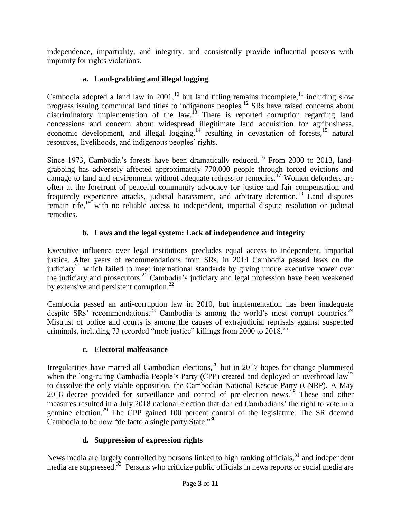independence, impartiality, and integrity, and consistently provide influential persons with impunity for rights violations.

## **a. Land-grabbing and illegal logging**

Cambodia adopted a land law in 2001,<sup>10</sup> but land titling remains incomplete,<sup>11</sup> including slow progress issuing communal land titles to indigenous peoples.<sup>12</sup> SRs have raised concerns about discriminatory implementation of the law.<sup>13</sup> There is reported corruption regarding land concessions and concern about widespread illegitimate land acquisition for agribusiness, economic development, and illegal logging, $14$  resulting in devastation of forests,  $15$  natural resources, livelihoods, and indigenous peoples' rights.

Since 1973, Cambodia's forests have been dramatically reduced.<sup>16</sup> From 2000 to 2013, landgrabbing has adversely affected approximately 770,000 people through forced evictions and damage to land and environment without adequate redress or remedies.<sup>17</sup> Women defenders are often at the forefront of peaceful community advocacy for justice and fair compensation and frequently experience attacks, judicial harassment, and arbitrary detention.<sup>18</sup> Land disputes remain rife,<sup>19</sup> with no reliable access to independent, impartial dispute resolution or judicial remedies.

# **b. Laws and the legal system: Lack of independence and integrity**

Executive influence over legal institutions precludes equal access to independent, impartial justice. After years of recommendations from SRs, in 2014 Cambodia passed laws on the judiciary<sup>20</sup> which failed to meet international standards by giving undue executive power over the judiciary and prosecutors. <sup>21</sup> Cambodia's judiciary and legal profession have been weakened by extensive and persistent corruption.<sup>22</sup>

Cambodia passed an anti-corruption law in 2010, but implementation has been inadequate despite  $S\text{Rs}^3$  recommendations.<sup>23</sup> Cambodia is among the world's most corrupt countries.<sup>24</sup> Mistrust of police and courts is among the causes of extrajudicial reprisals against suspected criminals, including 73 recorded "mob justice" killings from 2000 to 2018.<sup>25</sup>

## **c. Electoral malfeasance**

Irregularities have marred all Cambodian elections,<sup>26</sup> but in 2017 hopes for change plummeted when the long-ruling Cambodia People's Party (CPP) created and deployed an overbroad  $law<sup>27</sup>$ to dissolve the only viable opposition, the Cambodian National Rescue Party (CNRP). A May 2018 decree provided for surveillance and control of pre-election news.<sup>28</sup> These and other measures resulted in a July 2018 national election that denied Cambodians' the right to vote in a genuine election.<sup>29</sup> The CPP gained 100 percent control of the legislature. The SR deemed Cambodia to be now "de facto a single party State."<sup>30</sup>

# **d. Suppression of expression rights**

News media are largely controlled by persons linked to high ranking officials,  $31$  and independent media are suppressed.<sup>32</sup> Persons who criticize public officials in news reports or social media are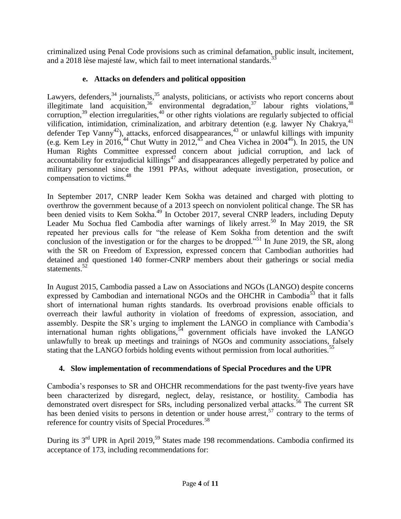criminalized using Penal Code provisions such as criminal defamation, public insult, incitement, and a 2018 lèse majesté law, which fail to meet international standards.<sup>33</sup>

## **e. Attacks on defenders and political opposition**

Lawyers, defenders,  $34$  journalists,  $35$  analysts, politicians, or activists who report concerns about illegitimate land acquisition,  $36$  environmental degradation,  $37$  labour rights violations,  $38$ corruption,<sup>39</sup> election irregularities,<sup>40</sup> or other rights violations are regularly subjected to official vilification, intimidation, criminalization, and arbitrary detention (e.g. lawyer Ny Chakrya, $41$ ) defender Tep Vanny<sup>42</sup>), attacks, enforced disappearances,<sup>43</sup> or unlawful killings with impunity (e.g. Kem Ley in 2016,<sup>44</sup> Chut Wutty in 2012,<sup>45</sup> and Chea Vichea in 2004<sup>46</sup>). In 2015, the UN Human Rights Committee expressed concern about judicial corruption, and lack of accountability for extrajudicial killings $47$  and disappearances allegedly perpetrated by police and military personnel since the 1991 PPAs, without adequate investigation, prosecution, or compensation to victims.<sup>48</sup>

In September 2017, CNRP leader Kem Sokha was detained and charged with plotting to overthrow the government because of a 2013 speech on nonviolent political change. The SR has been denied visits to Kem Sokha.<sup>49</sup> In October 2017, several CNRP leaders, including Deputy Leader Mu Sochua fled Cambodia after warnings of likely arrest.<sup>50</sup> In May 2019, the SR repeated her previous calls for "the release of Kem Sokha from detention and the swift conclusion of the investigation or for the charges to be dropped."<sup>51</sup> In June 2019, the SR, along with the SR on Freedom of Expression, expressed concern that Cambodian authorities had detained and questioned 140 former-CNRP members about their gatherings or social media statements.<sup>52</sup>

In August 2015, Cambodia passed a Law on Associations and NGOs (LANGO) despite concerns expressed by Cambodian and international NGOs and the OHCHR in Cambodia<sup>53</sup> that it falls short of international human rights standards. Its overbroad provisions enable officials to overreach their lawful authority in violation of freedoms of expression, association, and assembly. Despite the SR's urging to implement the LANGO in compliance with Cambodia's international human rights obligations,  $54$  government officials have invoked the LANGO unlawfully to break up meetings and trainings of NGOs and community associations, falsely stating that the LANGO forbids holding events without permission from local authorities.<sup>55</sup>

## **4. Slow implementation of recommendations of Special Procedures and the UPR**

Cambodia's responses to SR and OHCHR recommendations for the past twenty-five years have been characterized by disregard, neglect, delay, resistance, or hostility. Cambodia has demonstrated overt disrespect for SRs, including personalized verbal attacks.<sup>56</sup> The current SR has been denied visits to persons in detention or under house arrest,<sup>57</sup> contrary to the terms of reference for country visits of Special Procedures.<sup>58</sup>

During its 3<sup>rd</sup> UPR in April 2019,<sup>59</sup> States made 198 recommendations. Cambodia confirmed its acceptance of 173, including recommendations for: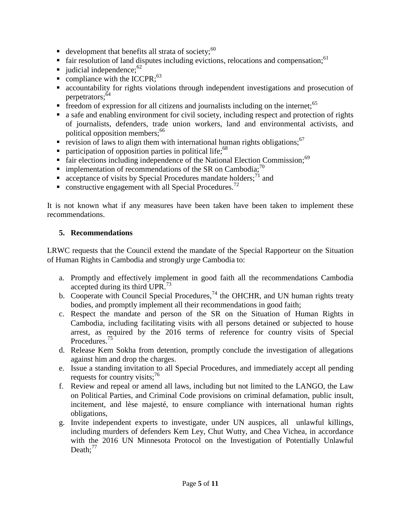- development that benefits all strata of society;  $60$
- fair resolution of land disputes including evictions, relocations and compensation;  $61$
- udicial independence;  $62$
- compliance with the ICCPR; $^{63}$
- accountability for rights violations through independent investigations and prosecution of perpetrators:<sup>64</sup>
- Freedom of expression for all citizens and journalists including on the internet;<sup>65</sup>
- a safe and enabling environment for civil society, including respect and protection of rights of journalists, defenders, trade union workers, land and environmental activists, and political opposition members;<sup>66</sup>
- revision of laws to align them with international human rights obligations;  $67$
- **Participation of opposition parties in political life;**<sup>68</sup>
- fair elections including independence of the National Election Commission;<sup>69</sup>
- implementation of recommendations of the SR on Cambodia;<sup>70</sup>
- acceptance of visits by Special Procedures mandate holders;<sup>71</sup> and
- constructive engagement with all Special Procedures.<sup>72</sup>

It is not known what if any measures have been taken have been taken to implement these recommendations.

#### **5. Recommendations**

LRWC requests that the Council extend the mandate of the Special Rapporteur on the Situation of Human Rights in Cambodia and strongly urge Cambodia to:

- a. Promptly and effectively implement in good faith all the recommendations Cambodia accepted during its third UPR. $^{73}$
- b. Cooperate with Council Special Procedures,<sup>74</sup> the OHCHR, and UN human rights treaty bodies, and promptly implement all their recommendations in good faith;
- c. Respect the mandate and person of the SR on the Situation of Human Rights in Cambodia, including facilitating visits with all persons detained or subjected to house arrest, as required by the 2016 terms of reference for country visits of Special Procedures.<sup>75</sup>
- d. Release Kem Sokha from detention, promptly conclude the investigation of allegations against him and drop the charges.
- e. Issue a standing invitation to all Special Procedures, and immediately accept all pending requests for country visits; $^{76}$
- f. Review and repeal or amend all laws, including but not limited to the LANGO, the Law on Political Parties, and Criminal Code provisions on criminal defamation, public insult, incitement, and lèse majesté, to ensure compliance with international human rights obligations,
- g. Invite independent experts to investigate, under UN auspices, all unlawful killings, including murders of defenders Kem Ley, Chut Wutty, and Chea Vichea, in accordance with the 2016 UN Minnesota Protocol on the Investigation of Potentially Unlawful Death: $^{77}$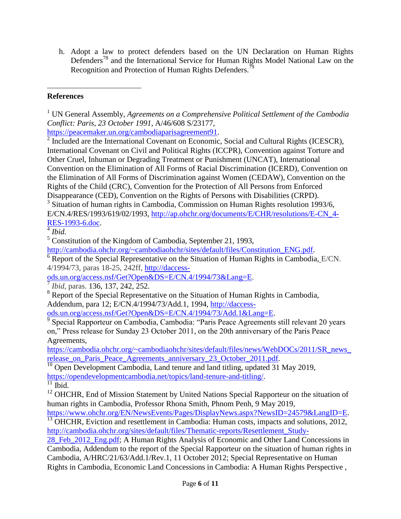h. Adopt a law to protect defenders based on the UN Declaration on Human Rights Defenders<sup>78</sup> and the International Service for Human Rights Model National Law on the Recognition and Protection of Human Rights Defenders.<sup>79</sup>

#### l **References**

[https://peacemaker.un.org/cambodiaparisagreement91.](https://peacemaker.un.org/cambodiaparisagreement91)

<sup>2</sup> Included are the International Covenant on Economic, Social and Cultural Rights (ICESCR), International Covenant on Civil and Political Rights (ICCPR), Convention against Torture and Other Cruel, Inhuman or Degrading Treatment or Punishment (UNCAT), International Convention on the Elimination of All Forms of Racial Discrimination (ICERD), Convention on the Elimination of All Forms of Discrimination against Women (CEDAW), Convention on the Rights of the Child (CRC), Convention for the Protection of All Persons from Enforced Disappearance (CED), Convention on the Rights of Persons with Disabilities (CRPD).

<sup>3</sup> Situation of human rights in Cambodia, Commission on Human Rights resolution 1993/6, E/CN.4/RES/1993/619/02/1993, [http://ap.ohchr.org/documents/E/CHR/resolutions/E-CN\\_4-](http://ap.ohchr.org/documents/E/CHR/resolutions/E-CN_4-RES-1993-6.doc) [RES-1993-6.doc.](http://ap.ohchr.org/documents/E/CHR/resolutions/E-CN_4-RES-1993-6.doc)

4 *Ibid.*

<sup>5</sup> Constitution of the Kingdom of Cambodia, September 21, 1993,

[http://cambodia.ohchr.org/~cambodiaohchr/sites/default/files/Constitution\\_ENG.pdf.](http://cambodia.ohchr.org/~cambodiaohchr/sites/default/files/Constitution_ENG.pdf)

 $6$  Report of the Special Representative on the [Situation of Human Rights in Cambodia,](https://documents-dds-ny.un.org/doc/UNDOC/GEN/G94/112/78/IMG/G9411278.pdf?OpenElement) E/CN. 4/1994/73, paras 18-25, 242ff, [http://daccess-](http://daccess-ods.un.org/access.nsf/Get?Open&DS=E/CN.4/1994/73&Lang=E)

[ods.un.org/access.nsf/Get?Open&DS=E/CN.4/1994/73&Lang=E.](http://daccess-ods.un.org/access.nsf/Get?Open&DS=E/CN.4/1994/73&Lang=E)

7 *Ibid*, paras. 136, 137, 242, 252.

<sup>8</sup> Report of the Special Representative on the Situation of Human Rights in Cambodia, Addendum, para 12; E/CN.4/1994/73/Add.1, 1994, [http://daccess-](http://daccess-ods.un.org/access.nsf/Get?Open&DS=E/CN.4/1994/73/Add.1&Lang=E)

[ods.un.org/access.nsf/Get?Open&DS=E/CN.4/1994/73/Add.1&Lang=E.](http://daccess-ods.un.org/access.nsf/Get?Open&DS=E/CN.4/1994/73/Add.1&Lang=E)

<sup>9</sup> Special Rapporteur on Cambodia, Cambodia: "Paris Peace Agreements still relevant 20 years on," Press release for Sunday 23 October 2011, on the 20th anniversary of the Paris Peace Agreements,

[https://cambodia.ohchr.org/~cambodiaohchr/sites/default/files/news/WebDOCs/2011/SR\\_news\\_](https://cambodia.ohchr.org/~cambodiaohchr/sites/default/files/news/WebDOCs/2011/SR_news_release_on_Paris_Peace_Agreements_anniversary_23_October_2011.pdf) release on Paris Peace Agreements anniversary 23 October 2011.pdf.

<sup>10</sup> Open Development Cambodia, Land tenure and land titling, updated 31 May 2019, [https://opendevelopmentcambodia.net/topics/land-tenure-and-titling/.](https://opendevelopmentcambodia.net/topics/land-tenure-and-titling/)

 $\frac{11}{11}$  Ibid.

<sup>12</sup> OHCHR, End of Mission Statement by United Nations Special Rapporteur on the situation of human rights in Cambodia, Professor Rhona Smith, Phnom Penh, 9 May 2019,

[https://www.ohchr.org/EN/NewsEvents/Pages/DisplayNews.aspx?NewsID=24579&LangID=E.](https://www.ohchr.org/EN/NewsEvents/Pages/DisplayNews.aspx?NewsID=24579&LangID=E) <sup>13</sup> OHCHR, Eviction and resettlement in Cambodia: Human costs, impacts and solutions, 2012,

[http://cambodia.ohchr.org/sites/default/files/Thematic-reports/Resettlement\\_Study-](http://cambodia.ohchr.org/sites/default/files/Thematic-reports/Resettlement_Study-28_Feb_2012_Eng.pdf)

[28\\_Feb\\_2012\\_Eng.pdf;](http://cambodia.ohchr.org/sites/default/files/Thematic-reports/Resettlement_Study-28_Feb_2012_Eng.pdf) A Human Rights Analysis of Economic and Other Land Concessions in Cambodia, Addendum to the report of the Special Rapporteur on the situation of human rights in Cambodia, A/HRC/21/63/Add.1/Rev.1, 11 October 2012; Special Representative on Human Rights in Cambodia, Economic Land Concessions in Cambodia: A Human Rights Perspective ,

<sup>1</sup> UN General Assembly, *Agreements on a Comprehensive Political Settlement of the Cambodia Conflict: Paris, 23 October 1991*, A/46/608 S/23177,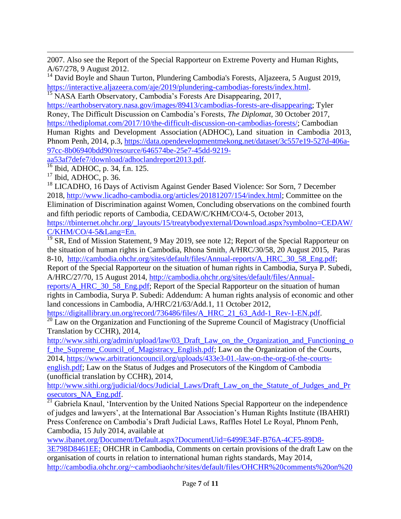$\overline{a}$ 2007. Also see the Report of the Special Rapporteur on Extreme Poverty and Human Rights, A/67/278, 9 August 2012.

 $14$  David Boyle and Shaun Turton, Plundering Cambodia's Forests, Aljazeera, 5 August 2019, [https://interactive.aljazeera.com/aje/2019/plundering-cambodias-forests/index.html.](https://interactive.aljazeera.com/aje/2019/plundering-cambodias-forests/index.html)

<sup>15</sup> NASA Earth Observatory, Cambodia's Forests Are Disappearing, 2017,

[https://earthobservatory.nasa.gov/images/89413/cambodias-forests-are-disappearing;](https://earthobservatory.nasa.gov/images/89413/cambodias-forests-are-disappearing) Tyler Roney, The Difficult Discussion on Cambodia's Forests, *The Diplomat*, 30 October 2017, [https://thediplomat.com/2017/10/the-difficult-discussion-on-cambodias-forests/;](https://thediplomat.com/2017/10/the-difficult-discussion-on-cambodias-forests/) Cambodian Human Rights and Development Association (ADHOC), Land situation in Cambodia 2013, Phnom Penh, 2014, p.3, [https://data.opendevelopmentmekong.net/dataset/3c557e19-527d-406a-](https://data.opendevelopmentmekong.net/dataset/3c557e19-527d-406a-97cc-8b06940bdd90/resource/646574be-25e7-45dd-9219-aa53af7defe7/download/adhoclandreport2013.pdf)[97cc-8b06940bdd90/resource/646574be-25e7-45dd-9219-](https://data.opendevelopmentmekong.net/dataset/3c557e19-527d-406a-97cc-8b06940bdd90/resource/646574be-25e7-45dd-9219-aa53af7defe7/download/adhoclandreport2013.pdf)

[aa53af7defe7/download/adhoclandreport2013.pdf.](https://data.opendevelopmentmekong.net/dataset/3c557e19-527d-406a-97cc-8b06940bdd90/resource/646574be-25e7-45dd-9219-aa53af7defe7/download/adhoclandreport2013.pdf)

<sup>16</sup> Ibid, ADHOC, p. 34, f.n. 125.

 $17$  Ibid, ADHOC, p. 36.

<sup>18</sup> LICADHO, 16 Days of Activism Against Gender Based Violence: Sor Sorn, 7 December 2018, [http://www.licadho-cambodia.org/articles/20181207/154/index.html;](http://www.licadho-cambodia.org/articles/20181207/154/index.html) Committee on the Elimination of Discrimination against Women, Concluding observations on the combined fourth and fifth periodic reports of Cambodia, CEDAW/C/KHM/CO/4-5, October 2013, [https://tbinternet.ohchr.org/\\_layouts/15/treatybodyexternal/Download.aspx?symbolno=CEDAW/](https://tbinternet.ohchr.org/_layouts/15/treatybodyexternal/Download.aspx?symbolno=CEDAW/C/KHM/CO/4-5&Lang=En) [C/KHM/CO/4-5&Lang=En.](https://tbinternet.ohchr.org/_layouts/15/treatybodyexternal/Download.aspx?symbolno=CEDAW/C/KHM/CO/4-5&Lang=En)

 $19$  SR, End of Mission Statement, 9 May 2019, see note 12; Report of the Special Rapporteur on the situation of human rights in Cambodia, Rhona Smith, A/HRC/30/58, 20 August 2015, Paras 8-10, [http://cambodia.ohchr.org/sites/default/files/Annual-reports/A\\_HRC\\_30\\_58\\_Eng.pdf;](http://cambodia.ohchr.org/sites/default/files/Annual-reports/A_HRC_30_58_Eng.pdf)

Report of the Special Rapporteur on the situation of human rights in Cambodia, Surya P. Subedi, A/HRC/27/70, 15 August 2014, [http://cambodia.ohchr.org/sites/default/files/Annual-](http://cambodia.ohchr.org/sites/default/files/Annual-reports/A_HRC_30_58_Eng.pdf)

[reports/A\\_HRC\\_30\\_58\\_Eng.pdf;](http://cambodia.ohchr.org/sites/default/files/Annual-reports/A_HRC_30_58_Eng.pdf) Report of the Special Rapporteur on the situation of human rights in Cambodia, Surya P. Subedi: Addendum: A human rights analysis of economic and other land concessions in Cambodia, A/HRC/21/63/Add.1, 11 October 2012,

[https://digitallibrary.un.org/record/736486/files/A\\_HRC\\_21\\_63\\_Add-1\\_Rev-1-EN.pdf.](https://digitallibrary.un.org/record/736486/files/A_HRC_21_63_Add-1_Rev-1-EN.pdf)

 $\frac{20}{20}$  Law on the Organization and Functioning of the Supreme Council of Magistracy (Unofficial Translation by CCHR), 2014,

[http://www.sithi.org/admin/upload/law/03\\_Draft\\_Law\\_on\\_the\\_Organization\\_and\\_Functioning\\_o](http://www.sithi.org/admin/upload/law/03_Draft_Law_on_the_Organization_and_Functioning_of_the_Supreme_Council_of_Magistracy_English.pdf) f the Supreme Council of Magistracy English.pdf; Law on the Organization of the Courts, 2014, [https://www.arbitrationcouncil.org/uploads/433e3-01.-law-on-the-org-of-the-courts-](https://www.arbitrationcouncil.org/uploads/433e3-01.-law-on-the-org-of-the-courts-english.pdf)

[english.pdf;](https://www.arbitrationcouncil.org/uploads/433e3-01.-law-on-the-org-of-the-courts-english.pdf) Law on the Status of Judges and Prosecutors of the Kingdom of Cambodia (unofficial translation by CCHR), 2014,

[http://www.sithi.org/judicial/docs/Judicial\\_Laws/Draft\\_Law\\_on\\_the\\_Statute\\_of\\_Judges\\_and\\_Pr](http://www.sithi.org/judicial/docs/Judicial_Laws/Draft_Law_on_the_Statute_of_Judges_and_Prosecutors_NA_Eng.pdf) [osecutors\\_NA\\_Eng.pdf.](http://www.sithi.org/judicial/docs/Judicial_Laws/Draft_Law_on_the_Statute_of_Judges_and_Prosecutors_NA_Eng.pdf)

<sup>21</sup> Gabriela Knaul, 'Intervention by the United Nations Special Rapporteur on the independence of judges and lawyers', at the International Bar Association's Human Rights Institute (IBAHRI) Press Conference on Cambodia's Draft Judicial Laws, Raffles Hotel Le Royal, Phnom Penh, Cambodia, 15 July 2014, available at

[www.ibanet.org/Document/Default.aspx?DocumentUid=6499E34F-B76A-4CF5-89D8-](http://www.ibanet.org/Document/Default.aspx?DocumentUid=6499E34F-B76A-4CF5-89D8-3E798D8461EE)

[3E798D8461EE;](http://www.ibanet.org/Document/Default.aspx?DocumentUid=6499E34F-B76A-4CF5-89D8-3E798D8461EE) OHCHR in Cambodia, Comments on certain provisions of the draft Law on the organisation of courts in relation to international human rights standards, May 2014, [http://cambodia.ohchr.org/~cambodiaohchr/sites/default/files/OHCHR%20comments%20on%20](http://cambodia.ohchr.org/~cambodiaohchr/sites/default/files/OHCHR%20comments%20on%20draft%20Law%20on%20org%20of%20courts%2C%20ENG%20May%202014%20final.pdf)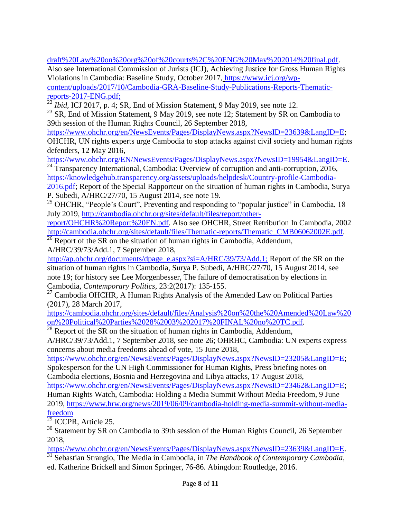$\overline{a}$ [draft%20Law%20on%20org%20of%20courts%2C%20ENG%20May%202014%20final.pdf.](http://cambodia.ohchr.org/~cambodiaohchr/sites/default/files/OHCHR%20comments%20on%20draft%20Law%20on%20org%20of%20courts%2C%20ENG%20May%202014%20final.pdf)

Also see International Commission of Jurists (ICJ), Achieving Justice for Gross Human Rights Violations in Cambodia: Baseline Study, October 2017, [https://www.icj.org/wp](https://www.icj.org/wp-content/uploads/2017/10/Cambodia-GRA-Baseline-Study-Publications-Reports-Thematic-reports-2017-ENG.pdf)[content/uploads/2017/10/Cambodia-GRA-Baseline-Study-Publications-Reports-Thematic](https://www.icj.org/wp-content/uploads/2017/10/Cambodia-GRA-Baseline-Study-Publications-Reports-Thematic-reports-2017-ENG.pdf)[reports-2017-ENG.pdf;](https://www.icj.org/wp-content/uploads/2017/10/Cambodia-GRA-Baseline-Study-Publications-Reports-Thematic-reports-2017-ENG.pdf)

 $^{22}$ *Ibid,* ICJ 2017, p. 4; SR, End of Mission Statement, 9 May 2019, see note 12.

 $23$  SR, End of Mission Statement, 9 May 2019, see note 12; Statement by SR on Cambodia to 39th session of the Human Rights Council, 26 September 2018,

[https://www.ohchr.org/en/NewsEvents/Pages/DisplayNews.aspx?NewsID=23639&LangID=E;](https://www.ohchr.org/en/NewsEvents/Pages/DisplayNews.aspx?NewsID=23639&LangID=E) OHCHR, UN rights experts urge Cambodia to stop attacks against civil society and human rights defenders, 12 May 2016,

[https://www.ohchr.org/EN/NewsEvents/Pages/DisplayNews.aspx?NewsID=19954&LangID=E.](https://www.ohchr.org/EN/NewsEvents/Pages/DisplayNews.aspx?NewsID=19954&LangID=E) <sup>24</sup> Transparency International, Cambodia: Overview of corruption and anti-corruption, 2016,

[https://knowledgehub.transparency.org/assets/uploads/helpdesk/Country-profile-Cambodia-](https://knowledgehub.transparency.org/assets/uploads/helpdesk/Country-profile-Cambodia-2016.pdf)

[2016.pdf;](https://knowledgehub.transparency.org/assets/uploads/helpdesk/Country-profile-Cambodia-2016.pdf) Report of the Special Rapporteur on the situation of human rights in Cambodia, Surva P. Subedi, A/HRC/27/70, 15 August 2014, see note 19.

<sup>25</sup> OHCHR, "People's Court", Preventing and responding to "popular justice" in Cambodia, 18 July 2019, [http://cambodia.ohchr.org/sites/default/files/report/other-](http://cambodia.ohchr.org/sites/default/files/report/other-report/OHCHR%20Report%20EN.pdf)

[report/OHCHR%20Report%20EN.pdf.](http://cambodia.ohchr.org/sites/default/files/report/other-report/OHCHR%20Report%20EN.pdf) Also see OHCHR, Street Retribution In Cambodia, 2002 [http://cambodia.ohchr.org/sites/default/files/Thematic-reports/Thematic\\_CMB06062002E.pdf.](http://cambodia.ohchr.org/sites/default/files/Thematic-reports/Thematic_CMB06062002E.pdf)

 $\frac{26}{26}$  Report of the SR on the situation of human rights in Cambodia, Addendum, A/HRC/39/73/Add.1, 7 September 2018,

[http://ap.ohchr.org/documents/dpage\\_e.aspx?si=A/HRC/39/73/Add.1;](http://ap.ohchr.org/documents/dpage_e.aspx?si=A/HRC/39/73/Add.1) Report of the SR on the situation of human rights in Cambodia, Surya P. Subedi, A/HRC/27/70, 15 August 2014, see note 19; for history see Lee Morgenbesser, The failure of democratisation by elections in Cambodia, *Contemporary Politics*, 23:2(2017): 135-155.

<sup>27</sup> Cambodia OHCHR, A Human Rights Analysis of the Amended Law on Political Parties (2017), 28 March 2017,

[https://cambodia.ohchr.org/sites/default/files/Analysis%20on%20the%20Amended%20Law%20](https://cambodia.ohchr.org/sites/default/files/Analysis%20on%20the%20Amended%20Law%20on%20Political%20Parties%2028%2003%202017%20FINAL%20no%20TC.pdf) [on%20Political%20Parties%2028%2003%202017%20FINAL%20no%20TC.pdf.](https://cambodia.ohchr.org/sites/default/files/Analysis%20on%20the%20Amended%20Law%20on%20Political%20Parties%2028%2003%202017%20FINAL%20no%20TC.pdf)

 $\frac{28}{28}$  Report of the SR on the situation of human rights in Cambodia, Addendum,

A/HRC/39/73/Add.1, 7 September 2018, see note 26; OHRHC, Cambodia: UN experts express concerns about media freedoms ahead of vote, 15 June 2018,

[https://www.ohchr.org/en/NewsEvents/Pages/DisplayNews.aspx?NewsID=23205&LangID=E;](https://www.ohchr.org/en/NewsEvents/Pages/DisplayNews.aspx?NewsID=23205&LangID=E) Spokesperson for the UN High Commissioner for Human Rights, Press briefing notes on

Cambodia elections, Bosnia and Herzegovina and Libya attacks, 17 August 2018, [https://www.ohchr.org/en/NewsEvents/Pages/DisplayNews.aspx?NewsID=23462&LangID=E;](https://www.ohchr.org/en/NewsEvents/Pages/DisplayNews.aspx?NewsID=23462&LangID=E)

Human Rights Watch, Cambodia: Holding a Media Summit Without Media Freedom, 9 June 2019, [https://www.hrw.org/news/2019/06/09/cambodia-holding-media-summit-without-media](https://www.hrw.org/news/2019/06/09/cambodia-holding-media-summit-without-media-freedom)[freedom](https://www.hrw.org/news/2019/06/09/cambodia-holding-media-summit-without-media-freedom)

 $29$  ICCPR, Article 25.

<sup>30</sup> Statement by SR on Cambodia to 39th session of the Human Rights Council, 26 September 2018,

[https://www.ohchr.org/en/NewsEvents/Pages/DisplayNews.aspx?NewsID=23639&LangID=E.](https://www.ohchr.org/en/NewsEvents/Pages/DisplayNews.aspx?NewsID=23639&LangID=E) <sup>31</sup> Sebastian Strangio, The Media in Cambodia, in *The Handbook of Contemporary Cambodia,*  ed. Katherine Brickell and Simon Springer, 76-86. Abingdon: Routledge, 2016.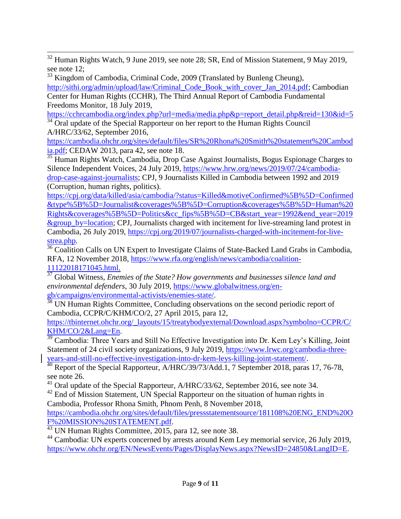$\overline{a}$  $32$  Human Rights Watch, 9 June 2019, see note 28; SR, End of Mission Statement, 9 May 2019, see note 12;

<sup>33</sup> Kingdom of Cambodia, Criminal Code, 2009 (Translated by Bunleng Cheung),

[http://sithi.org/admin/upload/law/Criminal\\_Code\\_Book\\_with\\_cover\\_Jan\\_2014.pdf;](http://sithi.org/admin/upload/law/Criminal_Code_Book_with_cover_Jan_2014.pdf) Cambodian Center for Human Rights (CCHR), The Third Annual Report of Cambodia Fundamental Freedoms Monitor, 18 July 2019,

[https://cchrcambodia.org/index.php?url=media/media.php&p=report\\_detail.php&reid=130&id=5](https://cchrcambodia.org/index.php?url=media/media.php&p=report_detail.php&reid=130&id=5)  $34$  Oral update of the Special Rapporteur on her report to the Human Rights Council

A/HRC/33/62, September 2016,

[https://cambodia.ohchr.org/sites/default/files/SR%20Rhona%20Smith%20statement%20Cambod](https://cambodia.ohchr.org/sites/default/files/SR%20Rhona%20Smith%20statement%20Cambodia.pdf) [ia.pdf;](https://cambodia.ohchr.org/sites/default/files/SR%20Rhona%20Smith%20statement%20Cambodia.pdf) CEDAW 2013, para 42, see note 18.

<sup>35</sup> Human Rights Watch, Cambodia, Drop Case Against Journalists, Bogus Espionage Charges to Silence Independent Voices, 24 July 2019, [https://www.hrw.org/news/2019/07/24/cambodia](https://www.hrw.org/news/2019/07/24/cambodia-drop-case-against-journalists)[drop-case-against-journalists;](https://www.hrw.org/news/2019/07/24/cambodia-drop-case-against-journalists) CPJ, 9 Journalists Killed in Cambodia between 1992 and 2019 (Corruption, human rights, politics).

[https://cpj.org/data/killed/asia/cambodia/?status=Killed&motiveConfirmed%5B%5D=Confirmed](https://cpj.org/data/killed/asia/cambodia/?status=Killed&motiveConfirmed%5B%5D=Confirmed&type%5B%5D=Journalist&coverages%5B%5D=Corruption&coverages%5B%5D=Human%20Rights&coverages%5B%5D=Politics&cc_fips%5B%5D=CB&start_year=1992&end_year=2019&group_by=location) [&type%5B%5D=Journalist&coverages%5B%5D=Corruption&coverages%5B%5D=Human%20](https://cpj.org/data/killed/asia/cambodia/?status=Killed&motiveConfirmed%5B%5D=Confirmed&type%5B%5D=Journalist&coverages%5B%5D=Corruption&coverages%5B%5D=Human%20Rights&coverages%5B%5D=Politics&cc_fips%5B%5D=CB&start_year=1992&end_year=2019&group_by=location) [Rights&coverages%5B%5D=Politics&cc\\_fips%5B%5D=CB&start\\_year=1992&end\\_year=2019](https://cpj.org/data/killed/asia/cambodia/?status=Killed&motiveConfirmed%5B%5D=Confirmed&type%5B%5D=Journalist&coverages%5B%5D=Corruption&coverages%5B%5D=Human%20Rights&coverages%5B%5D=Politics&cc_fips%5B%5D=CB&start_year=1992&end_year=2019&group_by=location) [&group\\_by=location;](https://cpj.org/data/killed/asia/cambodia/?status=Killed&motiveConfirmed%5B%5D=Confirmed&type%5B%5D=Journalist&coverages%5B%5D=Corruption&coverages%5B%5D=Human%20Rights&coverages%5B%5D=Politics&cc_fips%5B%5D=CB&start_year=1992&end_year=2019&group_by=location) CPJ, Journalists charged with incitement for live-streaming land protest in Cambodia, 26 July 2019, [https://cpj.org/2019/07/journalists-charged-with-incitement-for-live](https://cpj.org/2019/07/journalists-charged-with-incitement-for-live-strea.php)[strea.php.](https://cpj.org/2019/07/journalists-charged-with-incitement-for-live-strea.php)

<sup>36</sup> Coalition Calls on UN Expert to Investigate Claims of State-Backed Land Grabs in Cambodia, RFA, 12 November 2018, [https://www.rfa.org/english/news/cambodia/coalition-](https://www.rfa.org/english/news/cambodia/coalition-11122018171045.html)[11122018171045.html.](https://www.rfa.org/english/news/cambodia/coalition-11122018171045.html)

<sup>37</sup> Global Witness, *Enemies of the State? How governments and businesses silence land and environmental defenders*, 30 July 2019, [https://www.globalwitness.org/en-](https://www.globalwitness.org/en-gb/campaigns/environmental-activists/enemies-state/)

[gb/campaigns/environmental-activists/enemies-state/.](https://www.globalwitness.org/en-gb/campaigns/environmental-activists/enemies-state/)

<sup>38</sup> UN Human Rights Committee, Concluding observations on the second periodic report of Cambodia, CCPR/C/KHM/CO/2, 27 April 2015, para 12,

[https://tbinternet.ohchr.org/\\_layouts/15/treatybodyexternal/Download.aspx?symbolno=CCPR/C/](https://tbinternet.ohchr.org/_layouts/15/treatybodyexternal/Download.aspx?symbolno=CCPR/C/KHM/CO/2&Lang=En) [KHM/CO/2&Lang=En.](https://tbinternet.ohchr.org/_layouts/15/treatybodyexternal/Download.aspx?symbolno=CCPR/C/KHM/CO/2&Lang=En)

<sup>39</sup> Cambodia: Three Years and Still No Effective Investigation into Dr. Kem Ley's Killing, Joint Statement of 24 civil society organizations, 9 July 2019, [https://www.lrwc.org/cambodia-three](https://www.lrwc.org/cambodia-three-years-and-still-no-effective-investigation-into-dr-kem-leys-killing-joint-statement/)[years-and-still-no-effective-investigation-into-dr-kem-leys-killing-joint-statement/.](https://www.lrwc.org/cambodia-three-years-and-still-no-effective-investigation-into-dr-kem-leys-killing-joint-statement/)

<sup>40</sup> Report of the Special Rapporteur, A/HRC/39/73/Add.1, 7 September 2018, paras 17, 76-78, see note 26.

<sup>41</sup> Oral update of the Special Rapporteur, A/HRC/33/62, September 2016, see note 34.

<sup>42</sup> End of Mission Statement, UN Special Rapporteur on the situation of human rights in Cambodia, Professor Rhona Smith, Phnom Penh, 8 November 2018,

[https://cambodia.ohchr.org/sites/default/files/pressstatementsource/181108%20ENG\\_END%20O](https://cambodia.ohchr.org/sites/default/files/pressstatementsource/181108%20ENG_END%20OF%20MISSION%20STATEMENT.pdf) [F%20MISSION%20STATEMENT.pdf.](https://cambodia.ohchr.org/sites/default/files/pressstatementsource/181108%20ENG_END%20OF%20MISSION%20STATEMENT.pdf)

<sup>43</sup> UN Human Rights Committee, 2015, para 12, see note 38.

<sup>44</sup> Cambodia: UN experts concerned by arrests around Kem Ley memorial service, 26 July 2019, [https://www.ohchr.org/EN/NewsEvents/Pages/DisplayNews.aspx?NewsID=24850&LangID=E.](https://www.ohchr.org/EN/NewsEvents/Pages/DisplayNews.aspx?NewsID=24850&LangID=E)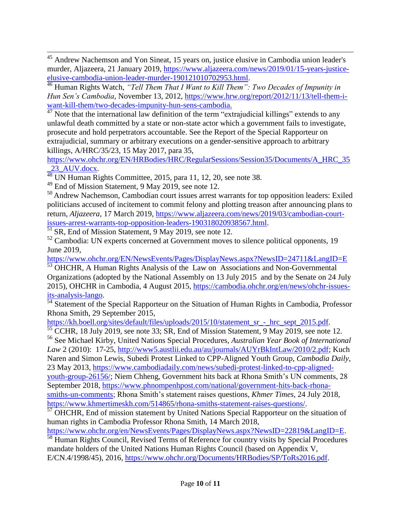$\overline{a}$  $45$  Andrew Nachemson and Yon Sineat, 15 years on, justice elusive in Cambodia union leader's murder, Aljazeera, 21 January 2019, [https://www.aljazeera.com/news/2019/01/15-years-justice](https://www.aljazeera.com/news/2019/01/15-years-justice-elusive-cambodia-union-leader-murder-190121010702953.html)[elusive-cambodia-union-leader-murder-190121010702953.html.](https://www.aljazeera.com/news/2019/01/15-years-justice-elusive-cambodia-union-leader-murder-190121010702953.html)

<sup>46</sup> Human Rights Watch, *"Tell Them That I Want to Kill Them": Two Decades of Impunity in Hun Sen's Cambodia*, November 13, 2012, [https://www.hrw.org/report/2012/11/13/tell-them-i](https://www.hrw.org/report/2012/11/13/tell-them-i-want-kill-them/two-decades-impunity-hun-sens-cambodia)[want-kill-them/two-decades-impunity-hun-sens-cambodia.](https://www.hrw.org/report/2012/11/13/tell-them-i-want-kill-them/two-decades-impunity-hun-sens-cambodia)

<sup>47</sup> Note that the international law definition of the term "extrajudicial killings" extends to any unlawful death committed by a state or non-state actor which a government fails to investigate, prosecute and hold perpetrators accountable. See the Report of the Special Rapporteur on extrajudicial, summary or arbitrary executions on a gender-sensitive approach to arbitrary killings, A/HRC/35/23, 15 May 2017, para 35,

[https://www.ohchr.org/EN/HRBodies/HRC/RegularSessions/Session35/Documents/A\\_HRC\\_35](https://www.ohchr.org/EN/HRBodies/HRC/RegularSessions/Session35/Documents/A_HRC_35_23_AUV.docx) [\\_23\\_AUV.docx.](https://www.ohchr.org/EN/HRBodies/HRC/RegularSessions/Session35/Documents/A_HRC_35_23_AUV.docx)

<sup>48</sup> UN Human Rights Committee, 2015, para 11, 12, 20, see note 38.

 $49$  End of Mission Statement, 9 May 2019, see note 12.

<sup>50</sup> Andrew Nachemson, Cambodian court issues arrest warrants for top opposition leaders: Exiled politicians accused of incitement to commit felony and plotting treason after announcing plans to return, *Aljazeera*, 17 March 2019, [https://www.aljazeera.com/news/2019/03/cambodian-court](https://www.aljazeera.com/news/2019/03/cambodian-court-issues-arrest-warrants-top-opposition-leaders-190318020938567.html)[issues-arrest-warrants-top-opposition-leaders-190318020938567.html.](https://www.aljazeera.com/news/2019/03/cambodian-court-issues-arrest-warrants-top-opposition-leaders-190318020938567.html)

 $\frac{51}{51}$  SR, End of Mission Statement, 9 May 2019, see note 12.

 $52$  Cambodia: UN experts concerned at Government moves to silence political opponents, 19 June 2019,

<https://www.ohchr.org/EN/NewsEvents/Pages/DisplayNews.aspx?NewsID=24711&LangID=E>

<sup>53</sup> OHCHR, A Human Rights Analysis of the Law on Associations and Non-Governmental Organizations (adopted by the National Assembly on 13 July 2015 and by the Senate on 24 July 2015), OHCHR in Cambodia, 4 August 2015, [https://cambodia.ohchr.org/en/news/ohchr-issues](https://cambodia.ohchr.org/en/news/ohchr-issues-its-analysis-lango)[its-analysis-lango.](https://cambodia.ohchr.org/en/news/ohchr-issues-its-analysis-lango)

 $\frac{54}{54}$  Statement of the Special Rapporteur on the Situation of Human Rights in Cambodia, Professor Rhona Smith, 29 September 2015,

[https://kh.boell.org/sites/default/files/uploads/2015/10/statement\\_sr\\_-\\_hrc\\_sept\\_2015.pdf.](https://kh.boell.org/sites/default/files/uploads/2015/10/statement_sr_-_hrc_sept_2015.pdf)

 $55$  CCHR, 18 July 2019, see note 33; SR, End of Mission Statement, 9 May 2019, see note 12. <sup>56</sup> See Michael Kirby, United Nations Special Procedures, *Australian Year Book of International Law* 2 (2010): 17-25, [http://www5.austlii.edu.au/au/journals/AUYrBkIntLaw/2010/2.pdf;](http://www5.austlii.edu.au/au/journals/AUYrBkIntLaw/2010/2.pdf) Kuch Naren and Simon Lewis, Subedi Protest Linked to CPP-Aligned Youth Group, *Cambodia Daily*, 23 May 2013, [https://www.cambodiadaily.com/news/subedi-protest-linked-to-cpp-aligned-](https://www.cambodiadaily.com/news/subedi-protest-linked-to-cpp-aligned-youth-group-26156/)

[youth-group-26156/;](https://www.cambodiadaily.com/news/subedi-protest-linked-to-cpp-aligned-youth-group-26156/) Niem Chheng, Government hits back at Rhona Smith's UN comments, 28 September 2018, [https://www.phnompenhpost.com/national/government-hits-back-rhona](https://www.phnompenhpost.com/national/government-hits-back-rhona-smiths-un-comments)[smiths-un-comments;](https://www.phnompenhpost.com/national/government-hits-back-rhona-smiths-un-comments) Rhona Smith's statement raises questions, *Khmer Times*, 24 July 2018,

[https://www.khmertimeskh.com/514865/rhona-smiths-statement-raises-questions/.](https://www.khmertimeskh.com/514865/rhona-smiths-statement-raises-questions/)

57 OHCHR, End of mission statement by United Nations Special Rapporteur on the situation of human rights in Cambodia Professor Rhona Smith, 14 March 2018,

[https://www.ohchr.org/en/NewsEvents/Pages/DisplayNews.aspx?NewsID=22819&LangID=E.](https://www.ohchr.org/en/NewsEvents/Pages/DisplayNews.aspx?NewsID=22819&LangID=E)

<sup>58</sup> Human Rights Council, Revised Terms of Reference for country visits by Special Procedures mandate holders of the United Nations Human Rights Council (based on Appendix V, E/CN.4/1998/45), 2016, [https://www.ohchr.org/Documents/HRBodies/SP/ToRs2016.pdf.](https://www.ohchr.org/Documents/HRBodies/SP/ToRs2016.pdf)